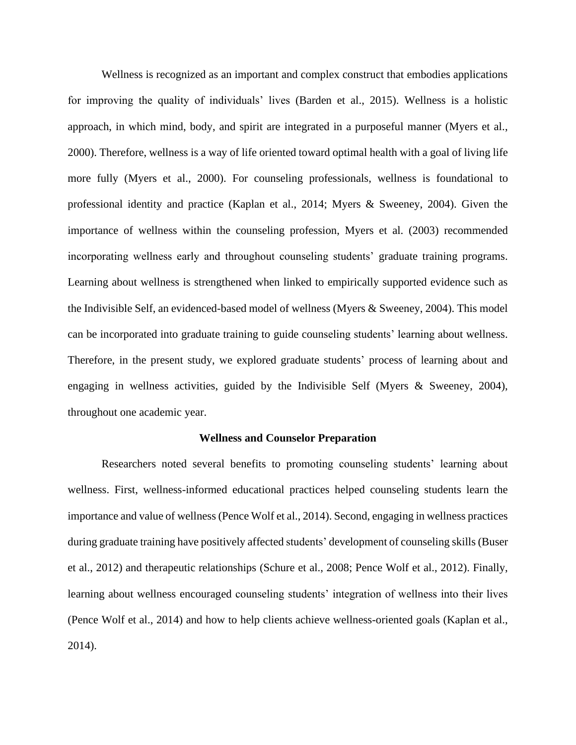Wellness is recognized as an important and complex construct that embodies applications for improving the quality of individuals' lives (Barden et al., 2015). Wellness is a holistic approach, in which mind, body, and spirit are integrated in a purposeful manner (Myers et al., 2000). Therefore, wellness is a way of life oriented toward optimal health with a goal of living life more fully (Myers et al., 2000). For counseling professionals, wellness is foundational to professional identity and practice (Kaplan et al., 2014; Myers & Sweeney, 2004). Given the importance of wellness within the counseling profession, Myers et al. (2003) recommended incorporating wellness early and throughout counseling students' graduate training programs. Learning about wellness is strengthened when linked to empirically supported evidence such as the Indivisible Self, an evidenced-based model of wellness (Myers & Sweeney, 2004). This model can be incorporated into graduate training to guide counseling students' learning about wellness. Therefore, in the present study, we explored graduate students' process of learning about and engaging in wellness activities, guided by the Indivisible Self (Myers & Sweeney, 2004), throughout one academic year.

## **Wellness and Counselor Preparation**

Researchers noted several benefits to promoting counseling students' learning about wellness. First, wellness-informed educational practices helped counseling students learn the importance and value of wellness (Pence Wolf et al., 2014). Second, engaging in wellness practices during graduate training have positively affected students' development of counseling skills (Buser et al., 2012) and therapeutic relationships (Schure et al., 2008; Pence Wolf et al., 2012). Finally, learning about wellness encouraged counseling students' integration of wellness into their lives (Pence Wolf et al., 2014) and how to help clients achieve wellness-oriented goals (Kaplan et al., 2014).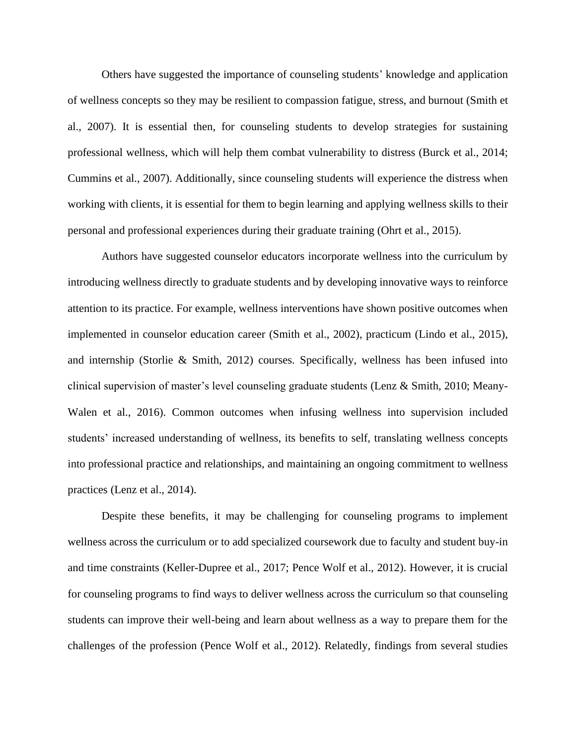Others have suggested the importance of counseling students' knowledge and application of wellness concepts so they may be resilient to compassion fatigue, stress, and burnout (Smith et al., 2007). It is essential then, for counseling students to develop strategies for sustaining professional wellness, which will help them combat vulnerability to distress (Burck et al., 2014; Cummins et al., 2007). Additionally, since counseling students will experience the distress when working with clients, it is essential for them to begin learning and applying wellness skills to their personal and professional experiences during their graduate training (Ohrt et al., 2015).

Authors have suggested counselor educators incorporate wellness into the curriculum by introducing wellness directly to graduate students and by developing innovative ways to reinforce attention to its practice. For example, wellness interventions have shown positive outcomes when implemented in counselor education career (Smith et al., 2002), practicum (Lindo et al., 2015), and internship (Storlie & Smith, 2012) courses. Specifically, wellness has been infused into clinical supervision of master's level counseling graduate students (Lenz & Smith, 2010; Meany-Walen et al., 2016). Common outcomes when infusing wellness into supervision included students' increased understanding of wellness, its benefits to self, translating wellness concepts into professional practice and relationships, and maintaining an ongoing commitment to wellness practices (Lenz et al., 2014).

Despite these benefits, it may be challenging for counseling programs to implement wellness across the curriculum or to add specialized coursework due to faculty and student buy-in and time constraints (Keller-Dupree et al., 2017; Pence Wolf et al., 2012). However, it is crucial for counseling programs to find ways to deliver wellness across the curriculum so that counseling students can improve their well-being and learn about wellness as a way to prepare them for the challenges of the profession (Pence Wolf et al., 2012). Relatedly, findings from several studies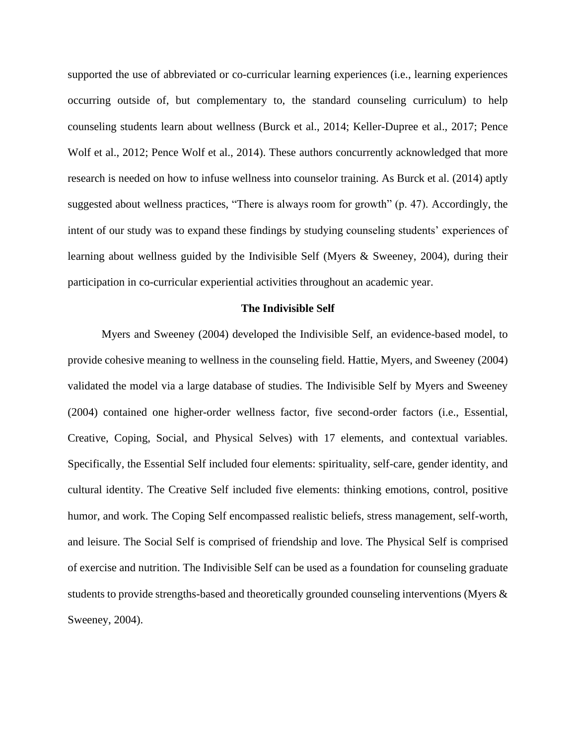supported the use of abbreviated or co-curricular learning experiences (i.e., learning experiences occurring outside of, but complementary to, the standard counseling curriculum) to help counseling students learn about wellness (Burck et al., 2014; Keller-Dupree et al., 2017; Pence Wolf et al., 2012; Pence Wolf et al., 2014). These authors concurrently acknowledged that more research is needed on how to infuse wellness into counselor training. As Burck et al. (2014) aptly suggested about wellness practices, "There is always room for growth" (p. 47). Accordingly, the intent of our study was to expand these findings by studying counseling students' experiences of learning about wellness guided by the Indivisible Self (Myers & Sweeney, 2004), during their participation in co-curricular experiential activities throughout an academic year.

## **The Indivisible Self**

Myers and Sweeney (2004) developed the Indivisible Self, an evidence-based model, to provide cohesive meaning to wellness in the counseling field. Hattie, Myers, and Sweeney (2004) validated the model via a large database of studies. The Indivisible Self by Myers and Sweeney (2004) contained one higher-order wellness factor, five second-order factors (i.e., Essential, Creative, Coping, Social, and Physical Selves) with 17 elements, and contextual variables. Specifically, the Essential Self included four elements: spirituality, self-care, gender identity, and cultural identity. The Creative Self included five elements: thinking emotions, control, positive humor, and work. The Coping Self encompassed realistic beliefs, stress management, self-worth, and leisure. The Social Self is comprised of friendship and love. The Physical Self is comprised of exercise and nutrition. The Indivisible Self can be used as a foundation for counseling graduate students to provide strengths-based and theoretically grounded counseling interventions (Myers & Sweeney, 2004).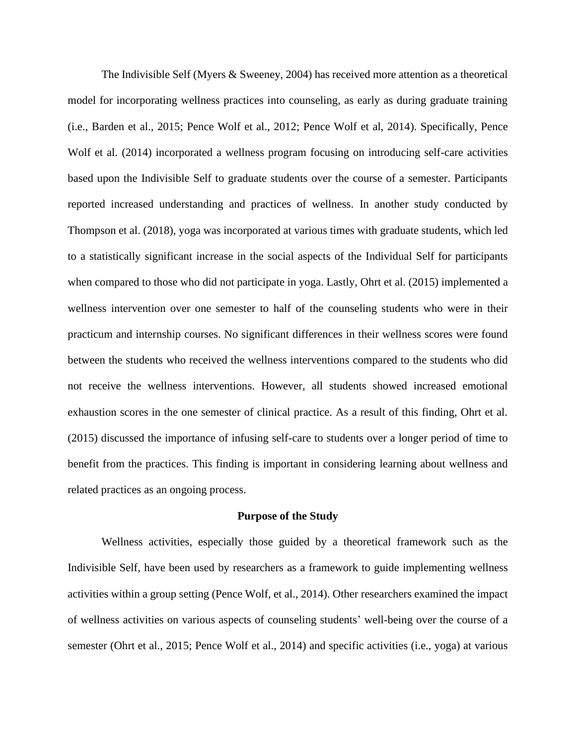The Indivisible Self (Myers & Sweeney, 2004) has received more attention as a theoretical model for incorporating wellness practices into counseling, as early as during graduate training (i.e., Barden et al., 2015; Pence Wolf et al., 2012; Pence Wolf et al, 2014). Specifically, Pence Wolf et al. (2014) incorporated a wellness program focusing on introducing self-care activities based upon the Indivisible Self to graduate students over the course of a semester. Participants reported increased understanding and practices of wellness. In another study conducted by Thompson et al. (2018), yoga was incorporated at various times with graduate students, which led to a statistically significant increase in the social aspects of the Individual Self for participants when compared to those who did not participate in yoga. Lastly, Ohrt et al. (2015) implemented a wellness intervention over one semester to half of the counseling students who were in their practicum and internship courses. No significant differences in their wellness scores were found between the students who received the wellness interventions compared to the students who did not receive the wellness interventions. However, all students showed increased emotional exhaustion scores in the one semester of clinical practice. As a result of this finding, Ohrt et al. (2015) discussed the importance of infusing self-care to students over a longer period of time to benefit from the practices. This finding is important in considering learning about wellness and related practices as an ongoing process.

#### **Purpose of the Study**

Wellness activities, especially those guided by a theoretical framework such as the Indivisible Self, have been used by researchers as a framework to guide implementing wellness activities within a group setting (Pence Wolf, et al., 2014). Other researchers examined the impact of wellness activities on various aspects of counseling students' well-being over the course of a semester (Ohrt et al., 2015; Pence Wolf et al., 2014) and specific activities (i.e., yoga) at various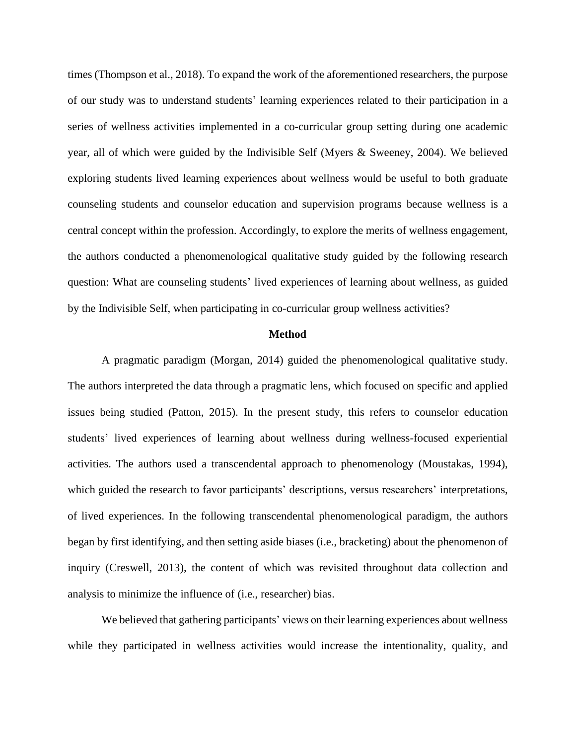times (Thompson et al., 2018). To expand the work of the aforementioned researchers, the purpose of our study was to understand students' learning experiences related to their participation in a series of wellness activities implemented in a co-curricular group setting during one academic year, all of which were guided by the Indivisible Self (Myers & Sweeney, 2004). We believed exploring students lived learning experiences about wellness would be useful to both graduate counseling students and counselor education and supervision programs because wellness is a central concept within the profession. Accordingly, to explore the merits of wellness engagement, the authors conducted a phenomenological qualitative study guided by the following research question: What are counseling students' lived experiences of learning about wellness, as guided by the Indivisible Self, when participating in co-curricular group wellness activities?

## **Method**

A pragmatic paradigm (Morgan, 2014) guided the phenomenological qualitative study. The authors interpreted the data through a pragmatic lens, which focused on specific and applied issues being studied (Patton, 2015). In the present study, this refers to counselor education students' lived experiences of learning about wellness during wellness-focused experiential activities. The authors used a transcendental approach to phenomenology (Moustakas, 1994), which guided the research to favor participants' descriptions, versus researchers' interpretations, of lived experiences. In the following transcendental phenomenological paradigm, the authors began by first identifying, and then setting aside biases (i.e., bracketing) about the phenomenon of inquiry (Creswell, 2013), the content of which was revisited throughout data collection and analysis to minimize the influence of (i.e., researcher) bias.

We believed that gathering participants' views on their learning experiences about wellness while they participated in wellness activities would increase the intentionality, quality, and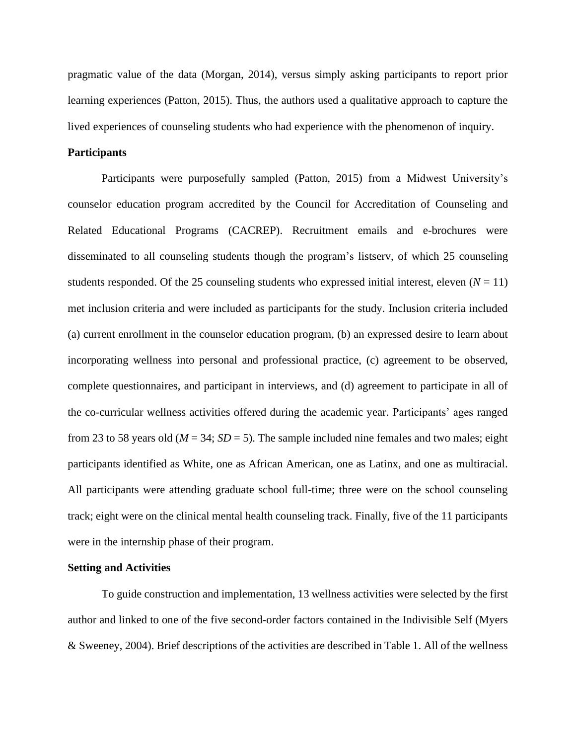pragmatic value of the data (Morgan, 2014), versus simply asking participants to report prior learning experiences (Patton, 2015). Thus, the authors used a qualitative approach to capture the lived experiences of counseling students who had experience with the phenomenon of inquiry.

# **Participants**

Participants were purposefully sampled (Patton, 2015) from a Midwest University's counselor education program accredited by the Council for Accreditation of Counseling and Related Educational Programs (CACREP). Recruitment emails and e-brochures were disseminated to all counseling students though the program's listserv, of which 25 counseling students responded. Of the 25 counseling students who expressed initial interest, eleven  $(N = 11)$ met inclusion criteria and were included as participants for the study. Inclusion criteria included (a) current enrollment in the counselor education program, (b) an expressed desire to learn about incorporating wellness into personal and professional practice, (c) agreement to be observed, complete questionnaires, and participant in interviews, and (d) agreement to participate in all of the co-curricular wellness activities offered during the academic year. Participants' ages ranged from 23 to 58 years old ( $M = 34$ ;  $SD = 5$ ). The sample included nine females and two males; eight participants identified as White, one as African American, one as Latinx, and one as multiracial. All participants were attending graduate school full-time; three were on the school counseling track; eight were on the clinical mental health counseling track. Finally, five of the 11 participants were in the internship phase of their program.

## **Setting and Activities**

To guide construction and implementation, 13 wellness activities were selected by the first author and linked to one of the five second-order factors contained in the Indivisible Self (Myers & Sweeney, 2004). Brief descriptions of the activities are described in Table 1. All of the wellness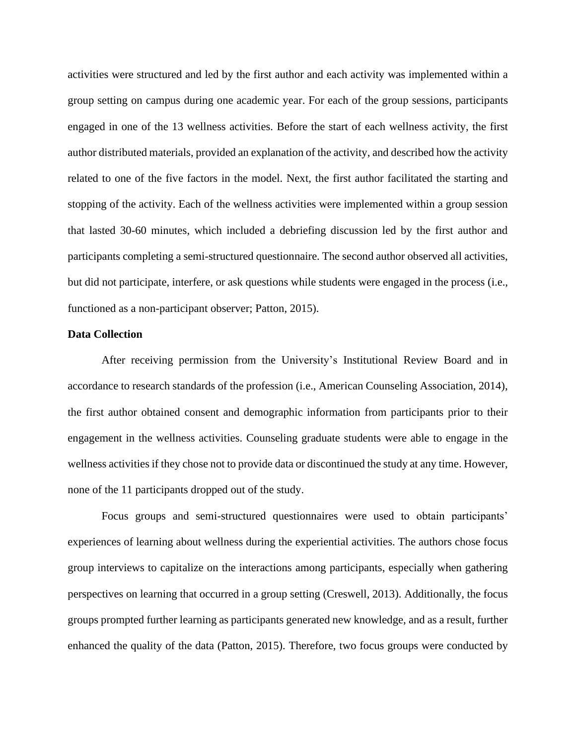activities were structured and led by the first author and each activity was implemented within a group setting on campus during one academic year. For each of the group sessions, participants engaged in one of the 13 wellness activities. Before the start of each wellness activity, the first author distributed materials, provided an explanation of the activity, and described how the activity related to one of the five factors in the model. Next, the first author facilitated the starting and stopping of the activity. Each of the wellness activities were implemented within a group session that lasted 30-60 minutes, which included a debriefing discussion led by the first author and participants completing a semi-structured questionnaire. The second author observed all activities, but did not participate, interfere, or ask questions while students were engaged in the process (i.e., functioned as a non-participant observer; Patton, 2015).

## **Data Collection**

After receiving permission from the University's Institutional Review Board and in accordance to research standards of the profession (i.e., American Counseling Association, 2014), the first author obtained consent and demographic information from participants prior to their engagement in the wellness activities. Counseling graduate students were able to engage in the wellness activities if they chose not to provide data or discontinued the study at any time. However, none of the 11 participants dropped out of the study.

Focus groups and semi-structured questionnaires were used to obtain participants' experiences of learning about wellness during the experiential activities. The authors chose focus group interviews to capitalize on the interactions among participants, especially when gathering perspectives on learning that occurred in a group setting (Creswell, 2013). Additionally, the focus groups prompted further learning as participants generated new knowledge, and as a result, further enhanced the quality of the data (Patton, 2015). Therefore, two focus groups were conducted by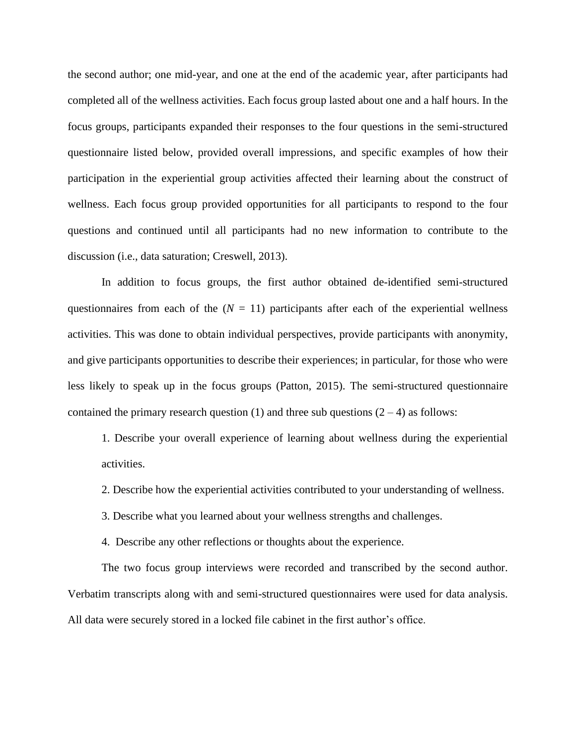the second author; one mid-year, and one at the end of the academic year, after participants had completed all of the wellness activities. Each focus group lasted about one and a half hours. In the focus groups, participants expanded their responses to the four questions in the semi-structured questionnaire listed below, provided overall impressions, and specific examples of how their participation in the experiential group activities affected their learning about the construct of wellness. Each focus group provided opportunities for all participants to respond to the four questions and continued until all participants had no new information to contribute to the discussion (i.e., data saturation; Creswell, 2013).

In addition to focus groups, the first author obtained de-identified semi-structured questionnaires from each of the  $(N = 11)$  participants after each of the experiential wellness activities. This was done to obtain individual perspectives, provide participants with anonymity, and give participants opportunities to describe their experiences; in particular, for those who were less likely to speak up in the focus groups (Patton, 2015). The semi-structured questionnaire contained the primary research question (1) and three sub questions  $(2 - 4)$  as follows:

1. Describe your overall experience of learning about wellness during the experiential activities.

2. Describe how the experiential activities contributed to your understanding of wellness.

3. Describe what you learned about your wellness strengths and challenges.

4. Describe any other reflections or thoughts about the experience.

The two focus group interviews were recorded and transcribed by the second author. Verbatim transcripts along with and semi-structured questionnaires were used for data analysis. All data were securely stored in a locked file cabinet in the first author's office.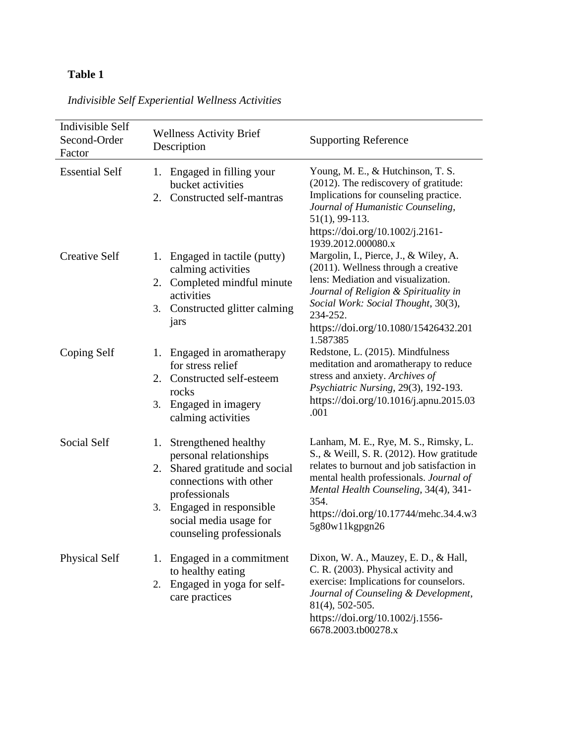# **Table 1**

| Indivisible Self<br>Second-Order<br>Factor | <b>Wellness Activity Brief</b><br>Description                                                                                                                                                                           | <b>Supporting Reference</b>                                                                                                                                                                                                                                                            |
|--------------------------------------------|-------------------------------------------------------------------------------------------------------------------------------------------------------------------------------------------------------------------------|----------------------------------------------------------------------------------------------------------------------------------------------------------------------------------------------------------------------------------------------------------------------------------------|
| <b>Essential Self</b>                      | Engaged in filling your<br>1.<br>bucket activities<br>Constructed self-mantras<br>2.                                                                                                                                    | Young, M. E., & Hutchinson, T. S.<br>(2012). The rediscovery of gratitude:<br>Implications for counseling practice.<br>Journal of Humanistic Counseling,<br>$51(1)$ , 99-113.<br>https://doi.org/10.1002/j.2161-<br>1939.2012.000080.x                                                 |
| <b>Creative Self</b>                       | Engaged in tactile (putty)<br>1.<br>calming activities<br>Completed mindful minute<br>2.<br>activities<br>Constructed glitter calming<br>3.<br>jars                                                                     | Margolin, I., Pierce, J., & Wiley, A.<br>(2011). Wellness through a creative<br>lens: Mediation and visualization.<br>Journal of Religion & Spirituality in<br>Social Work: Social Thought, 30(3),<br>234-252.<br>https://doi.org/10.1080/15426432.201<br>1.587385                     |
| Coping Self                                | Engaged in aromatherapy<br>1.<br>for stress relief<br>2. Constructed self-esteem<br>rocks<br>Engaged in imagery<br>3.<br>calming activities                                                                             | Redstone, L. (2015). Mindfulness<br>meditation and aromatherapy to reduce<br>stress and anxiety. Archives of<br>Psychiatric Nursing, 29(3), 192-193.<br>https://doi.org/10.1016/j.apnu.2015.03<br>.001                                                                                 |
| <b>Social Self</b>                         | Strengthened healthy<br>1.<br>personal relationships<br>2. Shared gratitude and social<br>connections with other<br>professionals<br>Engaged in responsible<br>3.<br>social media usage for<br>counseling professionals | Lanham, M. E., Rye, M. S., Rimsky, L.<br>S., & Weill, S. R. (2012). How gratitude<br>relates to burnout and job satisfaction in<br>mental health professionals. Journal of<br>Mental Health Counseling, 34(4), 341-<br>354.<br>https://doi.org/10.17744/mehc.34.4.w3<br>5g80w11kgpgn26 |
| <b>Physical Self</b>                       | 1. Engaged in a commitment<br>to healthy eating<br>Engaged in yoga for self-<br>2.<br>care practices                                                                                                                    | Dixon, W. A., Mauzey, E. D., & Hall,<br>C. R. (2003). Physical activity and<br>exercise: Implications for counselors.<br>Journal of Counseling & Development,<br>81(4), 502-505.<br>https://doi.org/10.1002/j.1556-<br>6678.2003.tb00278.x                                             |

*Indivisible Self Experiential Wellness Activities*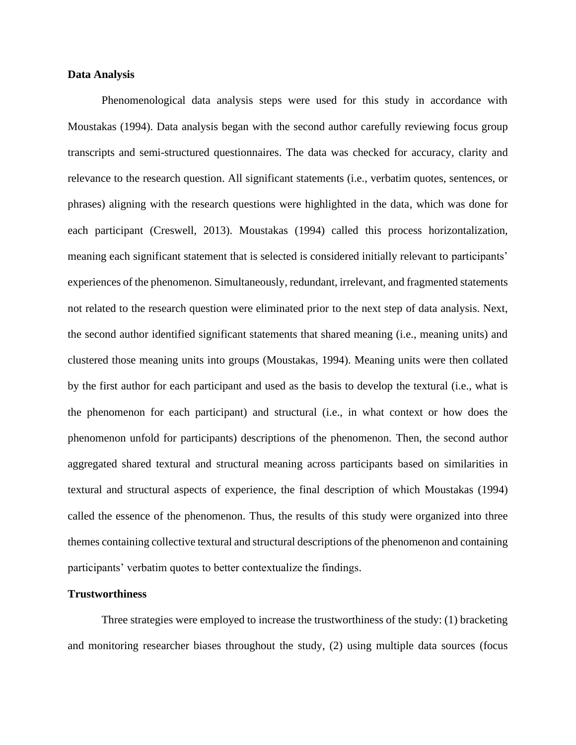# **Data Analysis**

Phenomenological data analysis steps were used for this study in accordance with Moustakas (1994). Data analysis began with the second author carefully reviewing focus group transcripts and semi-structured questionnaires. The data was checked for accuracy, clarity and relevance to the research question. All significant statements (i.e., verbatim quotes, sentences, or phrases) aligning with the research questions were highlighted in the data, which was done for each participant (Creswell, 2013). Moustakas (1994) called this process horizontalization, meaning each significant statement that is selected is considered initially relevant to participants' experiences of the phenomenon. Simultaneously, redundant, irrelevant, and fragmented statements not related to the research question were eliminated prior to the next step of data analysis. Next, the second author identified significant statements that shared meaning (i.e., meaning units) and clustered those meaning units into groups (Moustakas, 1994). Meaning units were then collated by the first author for each participant and used as the basis to develop the textural (i.e., what is the phenomenon for each participant) and structural (i.e., in what context or how does the phenomenon unfold for participants) descriptions of the phenomenon. Then, the second author aggregated shared textural and structural meaning across participants based on similarities in textural and structural aspects of experience, the final description of which Moustakas (1994) called the essence of the phenomenon. Thus, the results of this study were organized into three themes containing collective textural and structural descriptions of the phenomenon and containing participants' verbatim quotes to better contextualize the findings.

# **Trustworthiness**

Three strategies were employed to increase the trustworthiness of the study: (1) bracketing and monitoring researcher biases throughout the study, (2) using multiple data sources (focus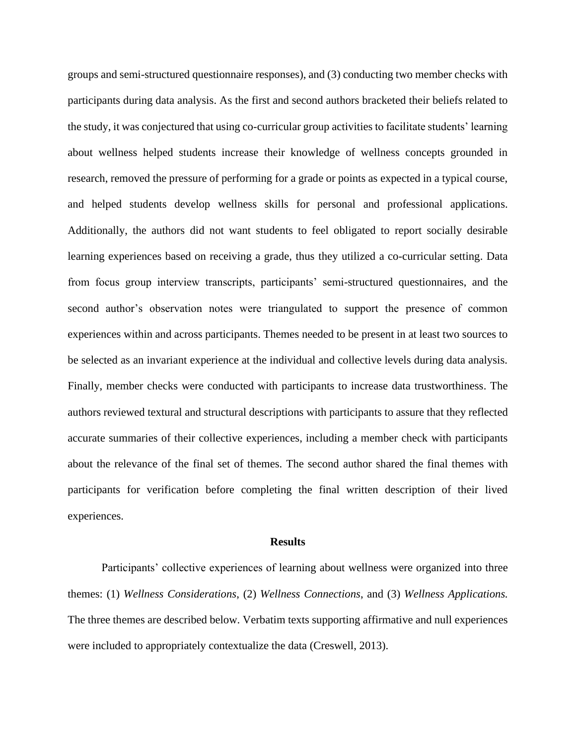groups and semi-structured questionnaire responses), and (3) conducting two member checks with participants during data analysis. As the first and second authors bracketed their beliefs related to the study, it was conjectured that using co-curricular group activities to facilitate students' learning about wellness helped students increase their knowledge of wellness concepts grounded in research, removed the pressure of performing for a grade or points as expected in a typical course, and helped students develop wellness skills for personal and professional applications. Additionally, the authors did not want students to feel obligated to report socially desirable learning experiences based on receiving a grade, thus they utilized a co-curricular setting. Data from focus group interview transcripts, participants' semi-structured questionnaires, and the second author's observation notes were triangulated to support the presence of common experiences within and across participants. Themes needed to be present in at least two sources to be selected as an invariant experience at the individual and collective levels during data analysis. Finally, member checks were conducted with participants to increase data trustworthiness. The authors reviewed textural and structural descriptions with participants to assure that they reflected accurate summaries of their collective experiences, including a member check with participants about the relevance of the final set of themes. The second author shared the final themes with participants for verification before completing the final written description of their lived experiences.

#### **Results**

Participants' collective experiences of learning about wellness were organized into three themes: (1) *Wellness Considerations*, (2) *Wellness Connections*, and (3) *Wellness Applications.* The three themes are described below. Verbatim texts supporting affirmative and null experiences were included to appropriately contextualize the data (Creswell, 2013).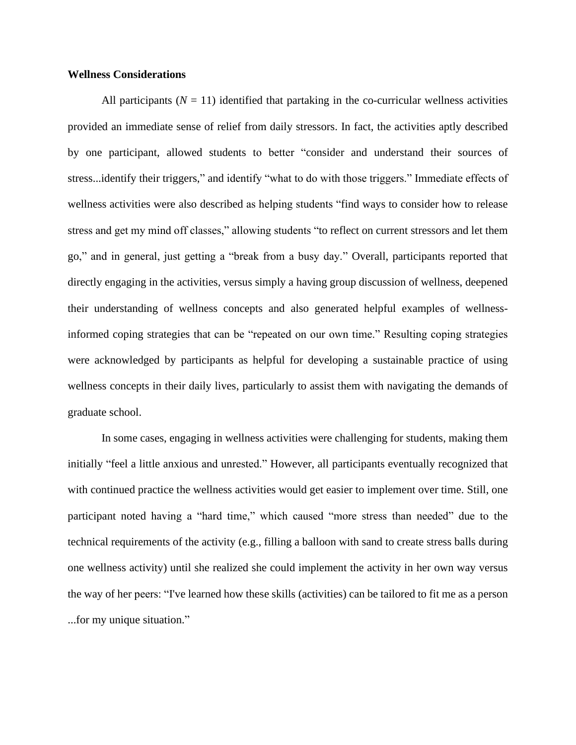# **Wellness Considerations**

All participants  $(N = 11)$  identified that partaking in the co-curricular wellness activities provided an immediate sense of relief from daily stressors. In fact, the activities aptly described by one participant, allowed students to better "consider and understand their sources of stress...identify their triggers," and identify "what to do with those triggers." Immediate effects of wellness activities were also described as helping students "find ways to consider how to release stress and get my mind off classes," allowing students "to reflect on current stressors and let them go," and in general, just getting a "break from a busy day." Overall, participants reported that directly engaging in the activities, versus simply a having group discussion of wellness, deepened their understanding of wellness concepts and also generated helpful examples of wellnessinformed coping strategies that can be "repeated on our own time." Resulting coping strategies were acknowledged by participants as helpful for developing a sustainable practice of using wellness concepts in their daily lives, particularly to assist them with navigating the demands of graduate school.

In some cases, engaging in wellness activities were challenging for students, making them initially "feel a little anxious and unrested." However, all participants eventually recognized that with continued practice the wellness activities would get easier to implement over time. Still, one participant noted having a "hard time," which caused "more stress than needed" due to the technical requirements of the activity (e.g., filling a balloon with sand to create stress balls during one wellness activity) until she realized she could implement the activity in her own way versus the way of her peers: "I've learned how these skills (activities) can be tailored to fit me as a person ...for my unique situation."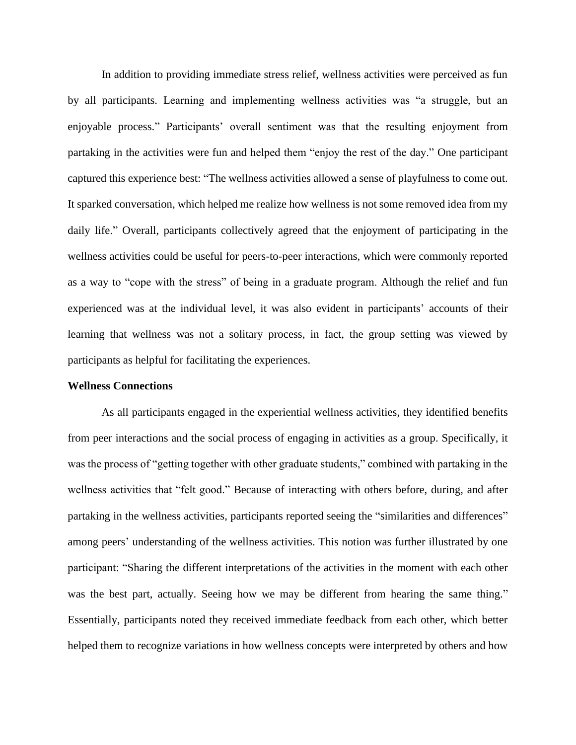In addition to providing immediate stress relief, wellness activities were perceived as fun by all participants. Learning and implementing wellness activities was "a struggle, but an enjoyable process." Participants' overall sentiment was that the resulting enjoyment from partaking in the activities were fun and helped them "enjoy the rest of the day." One participant captured this experience best: "The wellness activities allowed a sense of playfulness to come out. It sparked conversation, which helped me realize how wellness is not some removed idea from my daily life." Overall, participants collectively agreed that the enjoyment of participating in the wellness activities could be useful for peers-to-peer interactions, which were commonly reported as a way to "cope with the stress" of being in a graduate program. Although the relief and fun experienced was at the individual level, it was also evident in participants' accounts of their learning that wellness was not a solitary process, in fact, the group setting was viewed by participants as helpful for facilitating the experiences.

## **Wellness Connections**

As all participants engaged in the experiential wellness activities, they identified benefits from peer interactions and the social process of engaging in activities as a group. Specifically, it was the process of "getting together with other graduate students," combined with partaking in the wellness activities that "felt good." Because of interacting with others before, during, and after partaking in the wellness activities, participants reported seeing the "similarities and differences" among peers' understanding of the wellness activities. This notion was further illustrated by one participant: "Sharing the different interpretations of the activities in the moment with each other was the best part, actually. Seeing how we may be different from hearing the same thing." Essentially, participants noted they received immediate feedback from each other, which better helped them to recognize variations in how wellness concepts were interpreted by others and how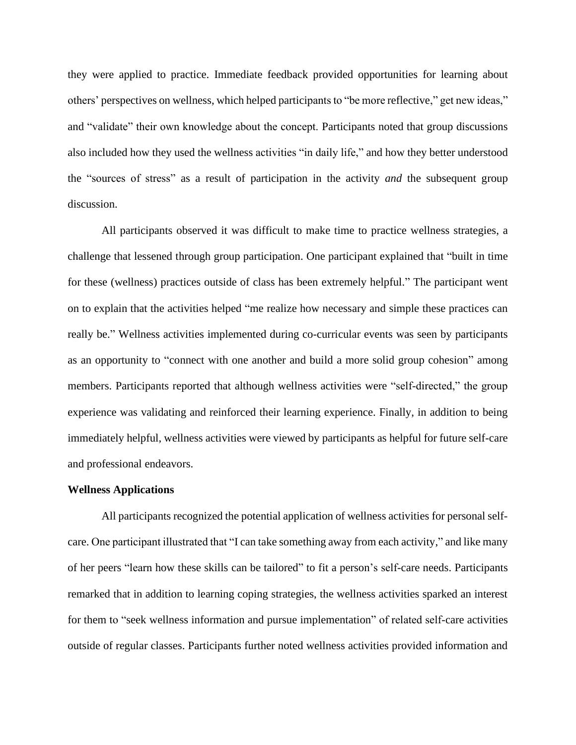they were applied to practice. Immediate feedback provided opportunities for learning about others' perspectives on wellness, which helped participants to "be more reflective," get new ideas," and "validate" their own knowledge about the concept. Participants noted that group discussions also included how they used the wellness activities "in daily life," and how they better understood the "sources of stress" as a result of participation in the activity *and* the subsequent group discussion.

All participants observed it was difficult to make time to practice wellness strategies, a challenge that lessened through group participation. One participant explained that "built in time for these (wellness) practices outside of class has been extremely helpful." The participant went on to explain that the activities helped "me realize how necessary and simple these practices can really be." Wellness activities implemented during co-curricular events was seen by participants as an opportunity to "connect with one another and build a more solid group cohesion" among members. Participants reported that although wellness activities were "self-directed," the group experience was validating and reinforced their learning experience. Finally, in addition to being immediately helpful, wellness activities were viewed by participants as helpful for future self-care and professional endeavors.

## **Wellness Applications**

All participants recognized the potential application of wellness activities for personal selfcare. One participant illustrated that "I can take something away from each activity," and like many of her peers "learn how these skills can be tailored" to fit a person's self-care needs. Participants remarked that in addition to learning coping strategies, the wellness activities sparked an interest for them to "seek wellness information and pursue implementation" of related self-care activities outside of regular classes. Participants further noted wellness activities provided information and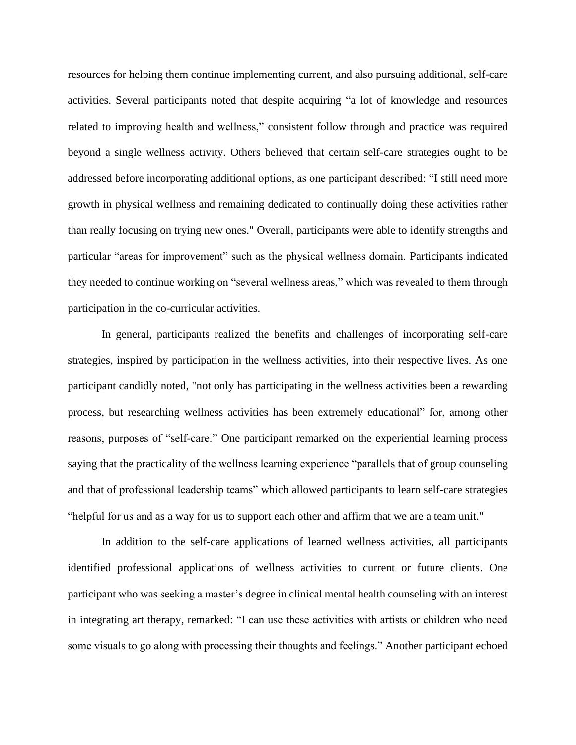resources for helping them continue implementing current, and also pursuing additional, self-care activities. Several participants noted that despite acquiring "a lot of knowledge and resources related to improving health and wellness," consistent follow through and practice was required beyond a single wellness activity. Others believed that certain self-care strategies ought to be addressed before incorporating additional options, as one participant described: "I still need more growth in physical wellness and remaining dedicated to continually doing these activities rather than really focusing on trying new ones." Overall, participants were able to identify strengths and particular "areas for improvement" such as the physical wellness domain. Participants indicated they needed to continue working on "several wellness areas," which was revealed to them through participation in the co-curricular activities.

In general, participants realized the benefits and challenges of incorporating self-care strategies, inspired by participation in the wellness activities, into their respective lives. As one participant candidly noted, "not only has participating in the wellness activities been a rewarding process, but researching wellness activities has been extremely educational" for, among other reasons, purposes of "self-care." One participant remarked on the experiential learning process saying that the practicality of the wellness learning experience "parallels that of group counseling and that of professional leadership teams" which allowed participants to learn self-care strategies "helpful for us and as a way for us to support each other and affirm that we are a team unit."

In addition to the self-care applications of learned wellness activities, all participants identified professional applications of wellness activities to current or future clients. One participant who was seeking a master's degree in clinical mental health counseling with an interest in integrating art therapy, remarked: "I can use these activities with artists or children who need some visuals to go along with processing their thoughts and feelings." Another participant echoed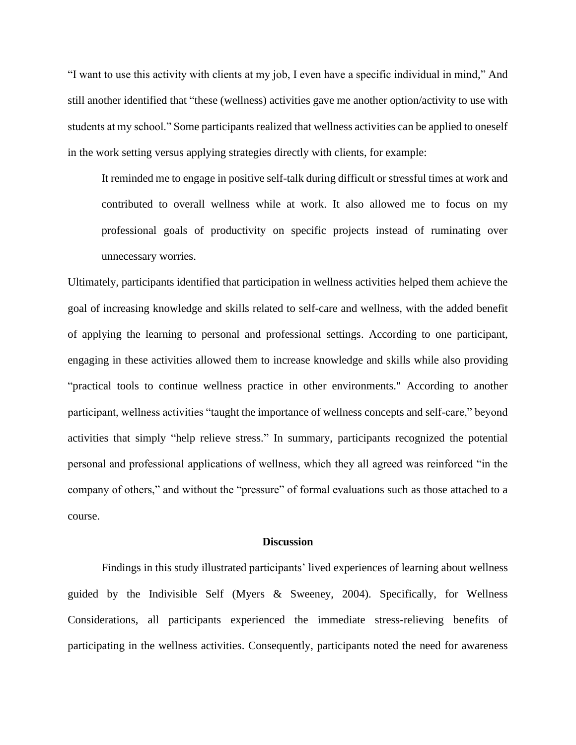"I want to use this activity with clients at my job, I even have a specific individual in mind," And still another identified that "these (wellness) activities gave me another option/activity to use with students at my school." Some participants realized that wellness activities can be applied to oneself in the work setting versus applying strategies directly with clients, for example:

It reminded me to engage in positive self-talk during difficult or stressful times at work and contributed to overall wellness while at work. It also allowed me to focus on my professional goals of productivity on specific projects instead of ruminating over unnecessary worries.

Ultimately, participants identified that participation in wellness activities helped them achieve the goal of increasing knowledge and skills related to self-care and wellness, with the added benefit of applying the learning to personal and professional settings. According to one participant, engaging in these activities allowed them to increase knowledge and skills while also providing "practical tools to continue wellness practice in other environments." According to another participant, wellness activities "taught the importance of wellness concepts and self-care," beyond activities that simply "help relieve stress." In summary, participants recognized the potential personal and professional applications of wellness, which they all agreed was reinforced "in the company of others," and without the "pressure" of formal evaluations such as those attached to a course.

## **Discussion**

Findings in this study illustrated participants' lived experiences of learning about wellness guided by the Indivisible Self (Myers & Sweeney, 2004). Specifically, for Wellness Considerations, all participants experienced the immediate stress-relieving benefits of participating in the wellness activities. Consequently, participants noted the need for awareness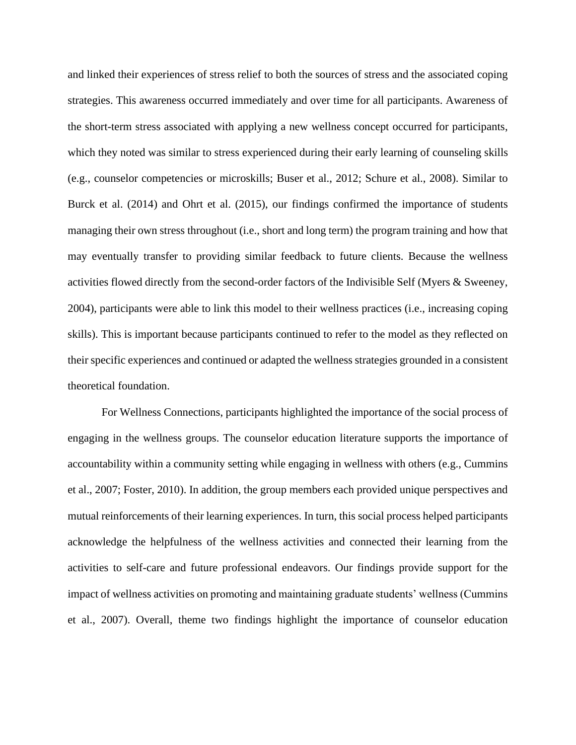and linked their experiences of stress relief to both the sources of stress and the associated coping strategies. This awareness occurred immediately and over time for all participants. Awareness of the short-term stress associated with applying a new wellness concept occurred for participants, which they noted was similar to stress experienced during their early learning of counseling skills (e.g., counselor competencies or microskills; Buser et al., 2012; Schure et al., 2008). Similar to Burck et al. (2014) and Ohrt et al. (2015), our findings confirmed the importance of students managing their own stress throughout (i.e., short and long term) the program training and how that may eventually transfer to providing similar feedback to future clients. Because the wellness activities flowed directly from the second-order factors of the Indivisible Self (Myers & Sweeney, 2004), participants were able to link this model to their wellness practices (i.e., increasing coping skills). This is important because participants continued to refer to the model as they reflected on their specific experiences and continued or adapted the wellness strategies grounded in a consistent theoretical foundation.

For Wellness Connections, participants highlighted the importance of the social process of engaging in the wellness groups. The counselor education literature supports the importance of accountability within a community setting while engaging in wellness with others (e.g., Cummins et al., 2007; Foster, 2010). In addition, the group members each provided unique perspectives and mutual reinforcements of their learning experiences. In turn, this social process helped participants acknowledge the helpfulness of the wellness activities and connected their learning from the activities to self-care and future professional endeavors. Our findings provide support for the impact of wellness activities on promoting and maintaining graduate students' wellness (Cummins et al., 2007). Overall, theme two findings highlight the importance of counselor education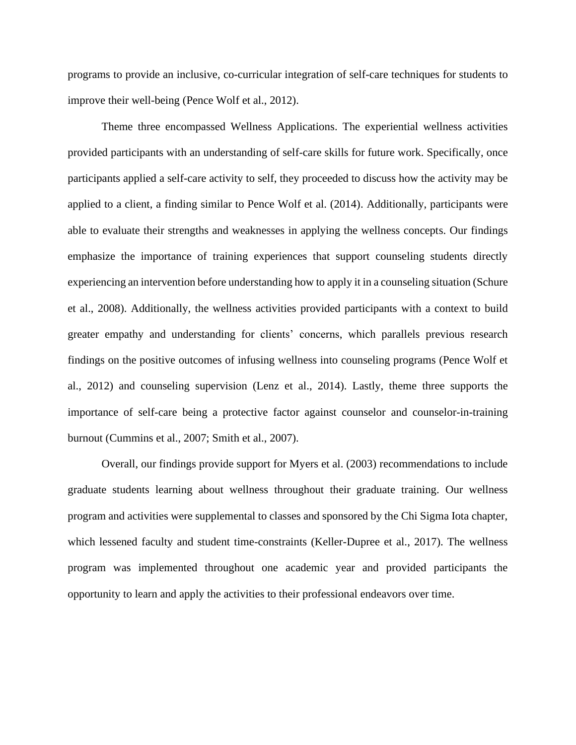programs to provide an inclusive, co-curricular integration of self-care techniques for students to improve their well-being (Pence Wolf et al., 2012).

Theme three encompassed Wellness Applications. The experiential wellness activities provided participants with an understanding of self-care skills for future work. Specifically, once participants applied a self-care activity to self, they proceeded to discuss how the activity may be applied to a client, a finding similar to Pence Wolf et al. (2014). Additionally, participants were able to evaluate their strengths and weaknesses in applying the wellness concepts. Our findings emphasize the importance of training experiences that support counseling students directly experiencing an intervention before understanding how to apply it in a counseling situation (Schure et al., 2008). Additionally, the wellness activities provided participants with a context to build greater empathy and understanding for clients' concerns, which parallels previous research findings on the positive outcomes of infusing wellness into counseling programs (Pence Wolf et al., 2012) and counseling supervision (Lenz et al., 2014). Lastly, theme three supports the importance of self-care being a protective factor against counselor and counselor-in-training burnout (Cummins et al., 2007; Smith et al., 2007).

Overall, our findings provide support for Myers et al. (2003) recommendations to include graduate students learning about wellness throughout their graduate training. Our wellness program and activities were supplemental to classes and sponsored by the Chi Sigma Iota chapter, which lessened faculty and student time-constraints (Keller-Dupree et al., 2017). The wellness program was implemented throughout one academic year and provided participants the opportunity to learn and apply the activities to their professional endeavors over time.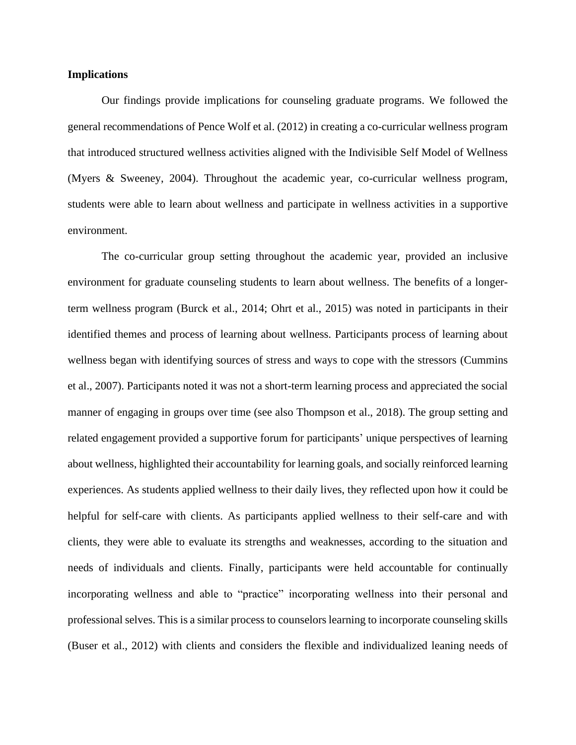# **Implications**

Our findings provide implications for counseling graduate programs. We followed the general recommendations of Pence Wolf et al. (2012) in creating a co-curricular wellness program that introduced structured wellness activities aligned with the Indivisible Self Model of Wellness (Myers & Sweeney, 2004). Throughout the academic year, co-curricular wellness program, students were able to learn about wellness and participate in wellness activities in a supportive environment.

The co-curricular group setting throughout the academic year, provided an inclusive environment for graduate counseling students to learn about wellness. The benefits of a longerterm wellness program (Burck et al., 2014; Ohrt et al., 2015) was noted in participants in their identified themes and process of learning about wellness. Participants process of learning about wellness began with identifying sources of stress and ways to cope with the stressors (Cummins et al., 2007). Participants noted it was not a short-term learning process and appreciated the social manner of engaging in groups over time (see also Thompson et al., 2018). The group setting and related engagement provided a supportive forum for participants' unique perspectives of learning about wellness, highlighted their accountability for learning goals, and socially reinforced learning experiences. As students applied wellness to their daily lives, they reflected upon how it could be helpful for self-care with clients. As participants applied wellness to their self-care and with clients, they were able to evaluate its strengths and weaknesses, according to the situation and needs of individuals and clients. Finally, participants were held accountable for continually incorporating wellness and able to "practice" incorporating wellness into their personal and professional selves. This is a similar process to counselors learning to incorporate counseling skills (Buser et al., 2012) with clients and considers the flexible and individualized leaning needs of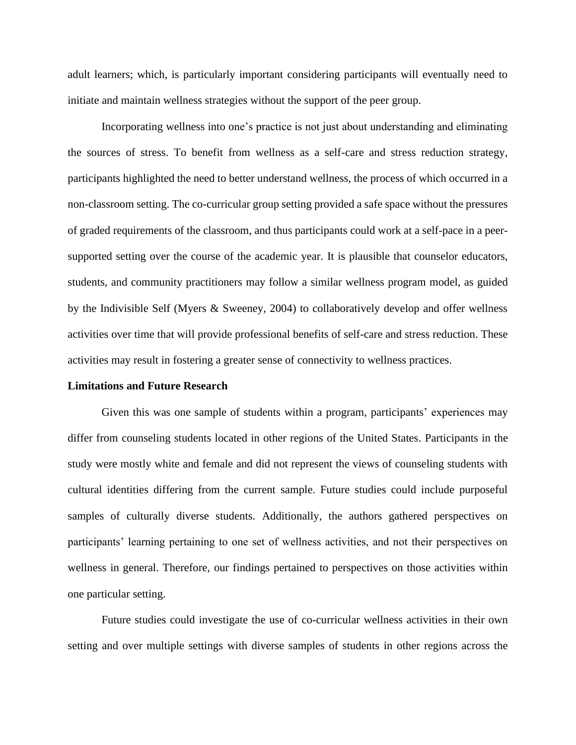adult learners; which, is particularly important considering participants will eventually need to initiate and maintain wellness strategies without the support of the peer group.

Incorporating wellness into one's practice is not just about understanding and eliminating the sources of stress. To benefit from wellness as a self-care and stress reduction strategy, participants highlighted the need to better understand wellness, the process of which occurred in a non-classroom setting. The co-curricular group setting provided a safe space without the pressures of graded requirements of the classroom, and thus participants could work at a self-pace in a peersupported setting over the course of the academic year. It is plausible that counselor educators, students, and community practitioners may follow a similar wellness program model, as guided by the Indivisible Self (Myers & Sweeney, 2004) to collaboratively develop and offer wellness activities over time that will provide professional benefits of self-care and stress reduction. These activities may result in fostering a greater sense of connectivity to wellness practices.

#### **Limitations and Future Research**

Given this was one sample of students within a program, participants' experiences may differ from counseling students located in other regions of the United States. Participants in the study were mostly white and female and did not represent the views of counseling students with cultural identities differing from the current sample. Future studies could include purposeful samples of culturally diverse students. Additionally, the authors gathered perspectives on participants' learning pertaining to one set of wellness activities, and not their perspectives on wellness in general. Therefore, our findings pertained to perspectives on those activities within one particular setting.

Future studies could investigate the use of co-curricular wellness activities in their own setting and over multiple settings with diverse samples of students in other regions across the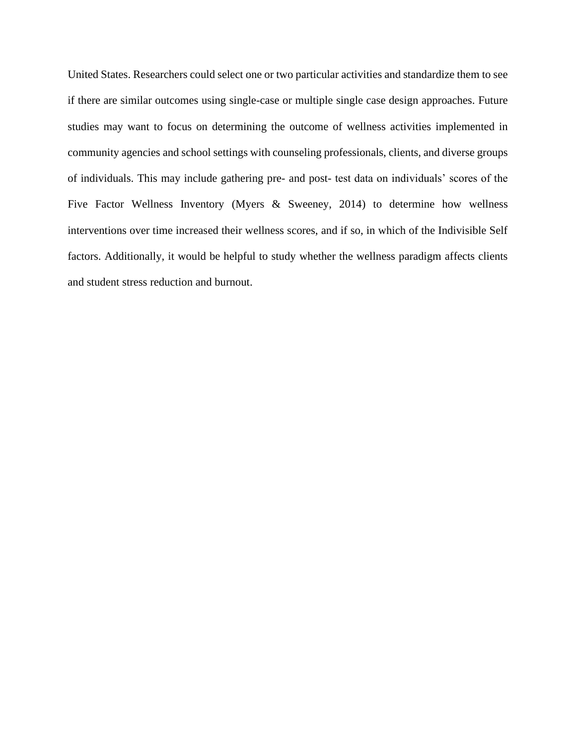United States. Researchers could select one or two particular activities and standardize them to see if there are similar outcomes using single-case or multiple single case design approaches. Future studies may want to focus on determining the outcome of wellness activities implemented in community agencies and school settings with counseling professionals, clients, and diverse groups of individuals. This may include gathering pre- and post- test data on individuals' scores of the Five Factor Wellness Inventory (Myers & Sweeney, 2014) to determine how wellness interventions over time increased their wellness scores, and if so, in which of the Indivisible Self factors. Additionally, it would be helpful to study whether the wellness paradigm affects clients and student stress reduction and burnout.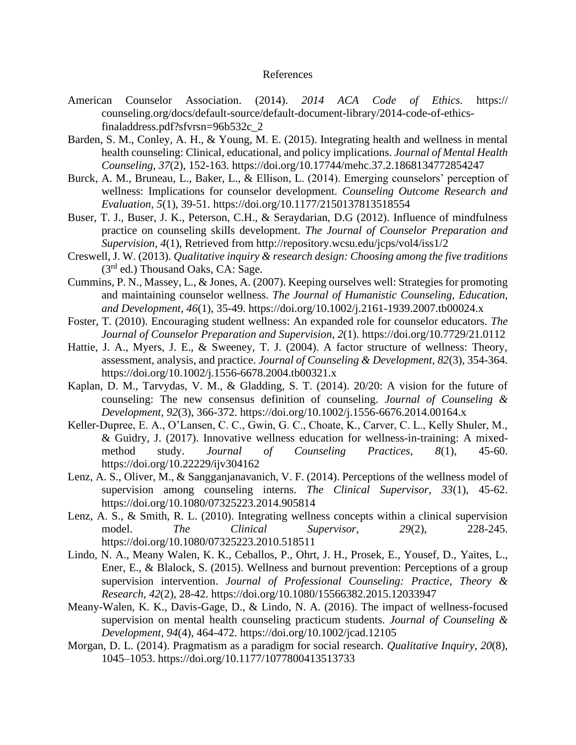## References

- American Counselor Association. (2014). *2014 ACA Code of Ethics.* https:// counseling.org/docs/default-source/default-document-library/2014-code-of-ethicsfinaladdress.pdf?sfvrsn=96b532c\_2
- Barden, S. M., Conley, A. H., & Young, M. E. (2015). Integrating health and wellness in mental health counseling: Clinical, educational, and policy implications. *Journal of Mental Health Counseling, 37*(2), 152-163. https://doi.org[/10.17744/mehc.37.2.1868134772854247](http://psycnet.apa.org/doi/10.17744/mehc.37.2.1868134772854247)
- Burck, A. M., Bruneau, L., Baker, L., & Ellison, L. (2014). Emerging counselors' perception of wellness: Implications for counselor development. *Counseling Outcome Research and Evaluation*, *5*(1), 39-51. https://doi.org/10.1177/2150137813518554
- Buser, T. J., Buser, J. K., Peterson, C.H., & Seraydarian, D.G (2012). Influence of mindfulness practice on counseling skills development. *The Journal of Counselor Preparation and Supervision, 4*(1), Retrieved from http://repository.wcsu.edu/jcps/vol4/iss1/2
- Creswell, J. W. (2013). *Qualitative inquiry & research design: Choosing among the five traditions*  $(3<sup>rd</sup>$  ed.) Thousand Oaks, CA: Sage.
- Cummins, P. N., Massey, L., & Jones, A. (2007). Keeping ourselves well: Strategies for promoting and maintaining counselor wellness. *The Journal of Humanistic Counseling, Education, and Development, 46*(1), 35-49. https://doi.org/10.1002/j.2161-1939.2007.tb00024.x
- Foster, T. (2010). Encouraging student wellness: An expanded role for counselor educators. *The Journal of Counselor Preparation and Supervision, 2*(1). https://doi.org/10.7729/21.0112
- Hattie, J. A., Myers, J. E., & Sweeney, T. J. (2004). A factor structure of wellness: Theory, assessment, analysis, and practice. *Journal of Counseling & Development, 82*(3), 354-364. https://doi.org/10.1002/j.1556-6678.2004.tb00321.x
- Kaplan, D. M., Tarvydas, V. M., & Gladding, S. T. (2014). 20/20: A vision for the future of counseling: The new consensus definition of counseling. *Journal of Counseling & Development, 92*(3), 366-372. https://doi.org/10.1002/j.1556-6676.2014.00164.x
- Keller-Dupree, E. A., O'Lansen, C. C., Gwin, G. C., Choate, K., Carver, C. L., Kelly Shuler, M., & Guidry, J. (2017). Innovative wellness education for wellness-in-training: A mixedmethod study. *Journal of Counseling Practices, 8*(1), 45-60. https://doi.org/10.22229/ijv304162
- Lenz, A. S., Oliver, M., & Sangganjanavanich, V. F. (2014). Perceptions of the wellness model of supervision among counseling interns. *The Clinical Supervisor, 33*(1), 45-62. https://doi.org/10.1080/07325223.2014.905814
- Lenz, A. S., & Smith, R. L. (2010). Integrating wellness concepts within a clinical supervision model. *The Clinical Supervisor, 29*(2), 228-245. https://doi.org[/10.1080/07325223.2010.518511](http://psycnet.apa.org/doi/10.1080/07325223.2010.518511)
- Lindo, N. A., Meany Walen, K. K., Ceballos, P., Ohrt, J. H., Prosek, E., Yousef, D., Yaites, L., Ener, E., & Blalock, S. (2015). Wellness and burnout prevention: Perceptions of a group supervision intervention. *Journal of Professional Counseling: Practice, Theory & Research, 42*(2), 28-42. https://doi.org/10.1080/15566382.2015.12033947
- Meany-Walen, K. K., Davis-Gage, D., & Lindo, N. A. (2016). The impact of wellness-focused supervision on mental health counseling practicum students. *Journal of Counseling & Development, 94*(4), 464-472. https://doi.org/10.1002/jcad.12105
- Morgan, D. L. (2014). Pragmatism as a paradigm for social research. *Qualitative Inquiry, 20*(8), 1045–1053. https://doi.org/10.1177/1077800413513733